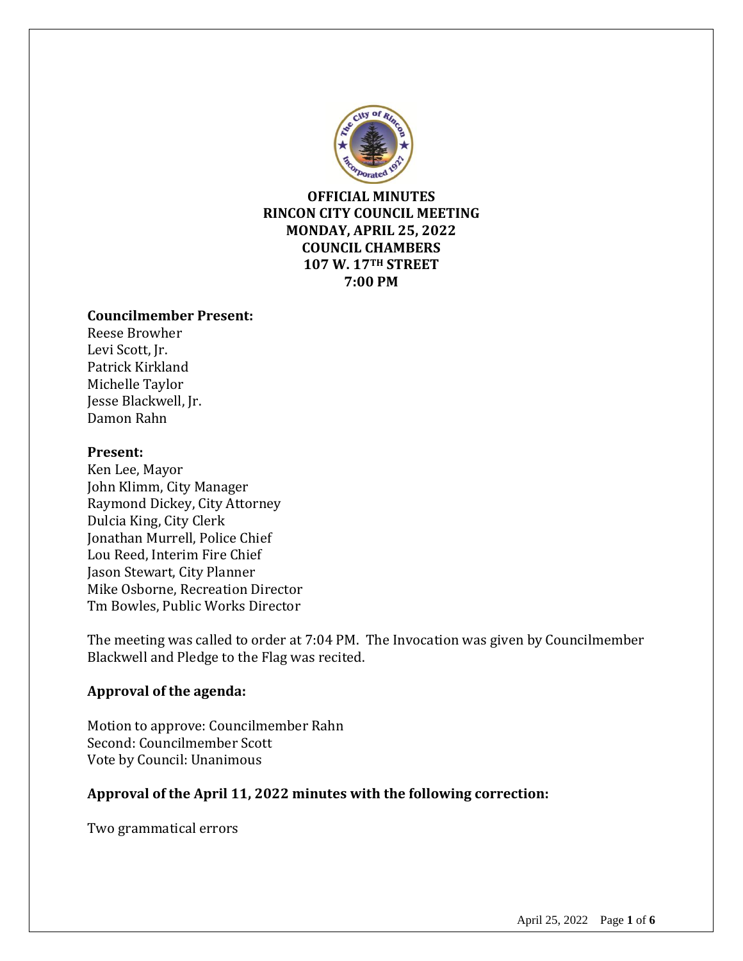

**OFFICIAL MINUTES RINCON CITY COUNCIL MEETING MONDAY, APRIL 25, 2022 COUNCIL CHAMBERS 107 W. 17TH STREET 7:00 PM**

#### **Councilmember Present:**

Reese Browher Levi Scott, Jr. Patrick Kirkland Michelle Taylor Jesse Blackwell, Jr. Damon Rahn

#### **Present:**

Ken Lee, Mayor John Klimm, City Manager Raymond Dickey, City Attorney Dulcia King, City Clerk Jonathan Murrell, Police Chief Lou Reed, Interim Fire Chief Jason Stewart, City Planner Mike Osborne, Recreation Director Tm Bowles, Public Works Director

The meeting was called to order at 7:04 PM. The Invocation was given by Councilmember Blackwell and Pledge to the Flag was recited.

#### **Approval of the agenda:**

Motion to approve: Councilmember Rahn Second: Councilmember Scott Vote by Council: Unanimous

## **Approval of the April 11, 2022 minutes with the following correction:**

Two grammatical errors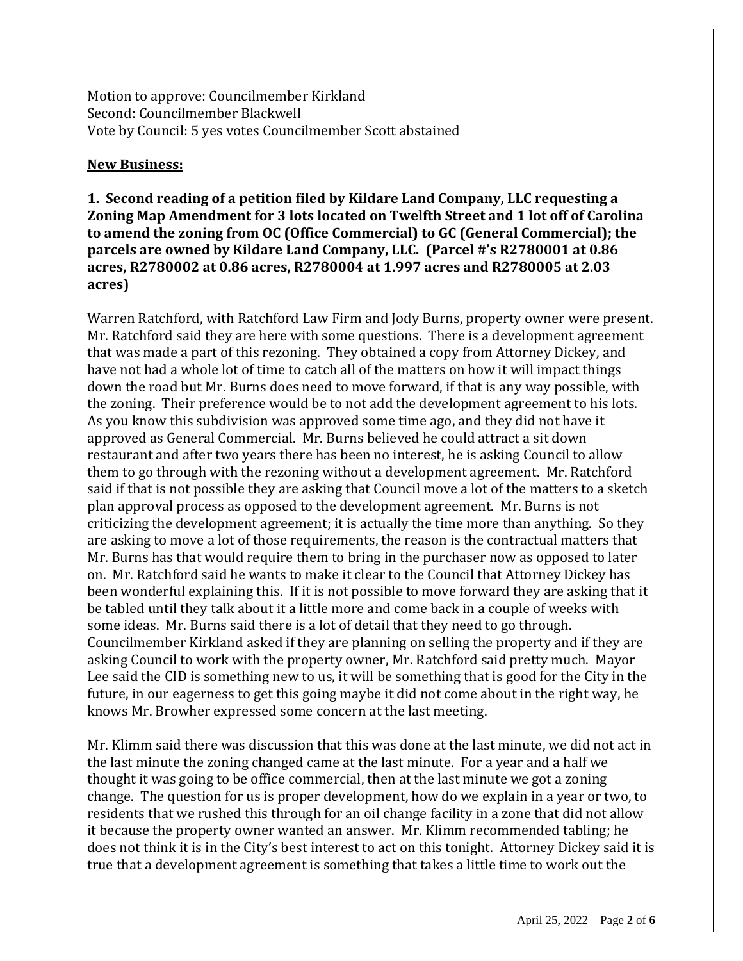Motion to approve: Councilmember Kirkland Second: Councilmember Blackwell Vote by Council: 5 yes votes Councilmember Scott abstained

#### **New Business:**

## **1. Second reading of a petition filed by Kildare Land Company, LLC requesting a Zoning Map Amendment for 3 lots located on Twelfth Street and 1 lot off of Carolina to amend the zoning from OC (Office Commercial) to GC (General Commercial); the parcels are owned by Kildare Land Company, LLC. (Parcel #'s R2780001 at 0.86 acres, R2780002 at 0.86 acres, R2780004 at 1.997 acres and R2780005 at 2.03 acres)**

Warren Ratchford, with Ratchford Law Firm and Jody Burns, property owner were present. Mr. Ratchford said they are here with some questions. There is a development agreement that was made a part of this rezoning. They obtained a copy from Attorney Dickey, and have not had a whole lot of time to catch all of the matters on how it will impact things down the road but Mr. Burns does need to move forward, if that is any way possible, with the zoning. Their preference would be to not add the development agreement to his lots. As you know this subdivision was approved some time ago, and they did not have it approved as General Commercial. Mr. Burns believed he could attract a sit down restaurant and after two years there has been no interest, he is asking Council to allow them to go through with the rezoning without a development agreement. Mr. Ratchford said if that is not possible they are asking that Council move a lot of the matters to a sketch plan approval process as opposed to the development agreement. Mr. Burns is not criticizing the development agreement; it is actually the time more than anything. So they are asking to move a lot of those requirements, the reason is the contractual matters that Mr. Burns has that would require them to bring in the purchaser now as opposed to later on. Mr. Ratchford said he wants to make it clear to the Council that Attorney Dickey has been wonderful explaining this. If it is not possible to move forward they are asking that it be tabled until they talk about it a little more and come back in a couple of weeks with some ideas. Mr. Burns said there is a lot of detail that they need to go through. Councilmember Kirkland asked if they are planning on selling the property and if they are asking Council to work with the property owner, Mr. Ratchford said pretty much. Mayor Lee said the CID is something new to us, it will be something that is good for the City in the future, in our eagerness to get this going maybe it did not come about in the right way, he knows Mr. Browher expressed some concern at the last meeting.

Mr. Klimm said there was discussion that this was done at the last minute, we did not act in the last minute the zoning changed came at the last minute. For a year and a half we thought it was going to be office commercial, then at the last minute we got a zoning change. The question for us is proper development, how do we explain in a year or two, to residents that we rushed this through for an oil change facility in a zone that did not allow it because the property owner wanted an answer. Mr. Klimm recommended tabling; he does not think it is in the City's best interest to act on this tonight. Attorney Dickey said it is true that a development agreement is something that takes a little time to work out the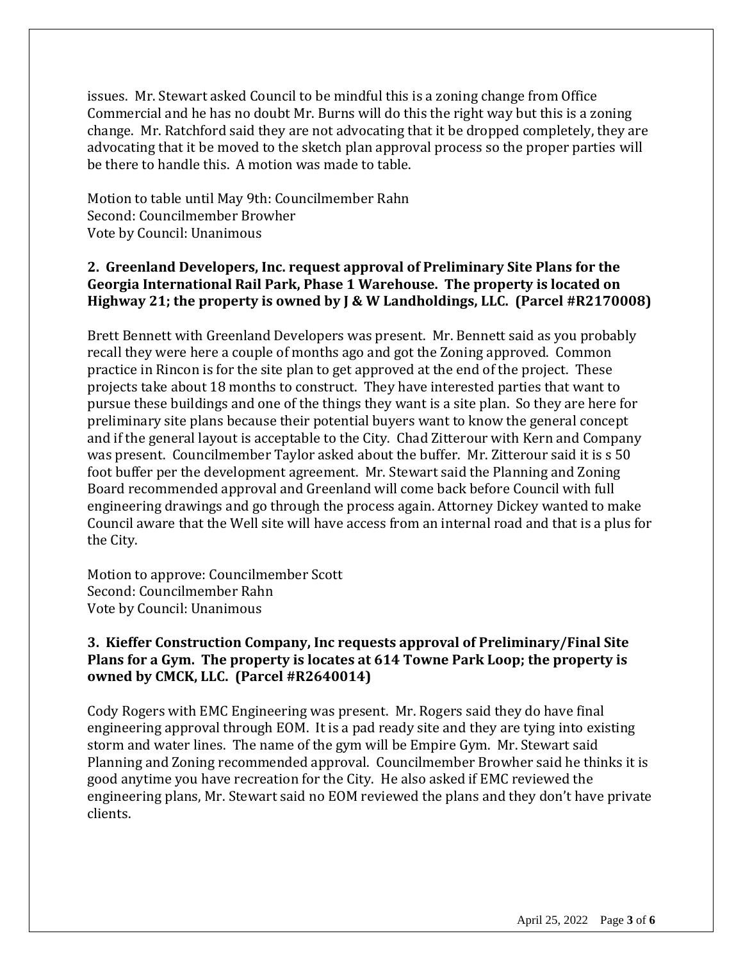issues. Mr. Stewart asked Council to be mindful this is a zoning change from Office Commercial and he has no doubt Mr. Burns will do this the right way but this is a zoning change. Mr. Ratchford said they are not advocating that it be dropped completely, they are advocating that it be moved to the sketch plan approval process so the proper parties will be there to handle this. A motion was made to table.

Motion to table until May 9th: Councilmember Rahn Second: Councilmember Browher Vote by Council: Unanimous

## **2. Greenland Developers, Inc. request approval of Preliminary Site Plans for the Georgia International Rail Park, Phase 1 Warehouse. The property is located on Highway 21; the property is owned by J & W Landholdings, LLC. (Parcel #R2170008)**

Brett Bennett with Greenland Developers was present. Mr. Bennett said as you probably recall they were here a couple of months ago and got the Zoning approved. Common practice in Rincon is for the site plan to get approved at the end of the project. These projects take about 18 months to construct. They have interested parties that want to pursue these buildings and one of the things they want is a site plan. So they are here for preliminary site plans because their potential buyers want to know the general concept and if the general layout is acceptable to the City. Chad Zitterour with Kern and Company was present. Councilmember Taylor asked about the buffer. Mr. Zitterour said it is s 50 foot buffer per the development agreement. Mr. Stewart said the Planning and Zoning Board recommended approval and Greenland will come back before Council with full engineering drawings and go through the process again. Attorney Dickey wanted to make Council aware that the Well site will have access from an internal road and that is a plus for the City.

Motion to approve: Councilmember Scott Second: Councilmember Rahn Vote by Council: Unanimous

## **3. Kieffer Construction Company, Inc requests approval of Preliminary/Final Site Plans for a Gym. The property is locates at 614 Towne Park Loop; the property is owned by CMCK, LLC. (Parcel #R2640014)**

Cody Rogers with EMC Engineering was present. Mr. Rogers said they do have final engineering approval through EOM. It is a pad ready site and they are tying into existing storm and water lines. The name of the gym will be Empire Gym. Mr. Stewart said Planning and Zoning recommended approval. Councilmember Browher said he thinks it is good anytime you have recreation for the City. He also asked if EMC reviewed the engineering plans, Mr. Stewart said no EOM reviewed the plans and they don't have private clients.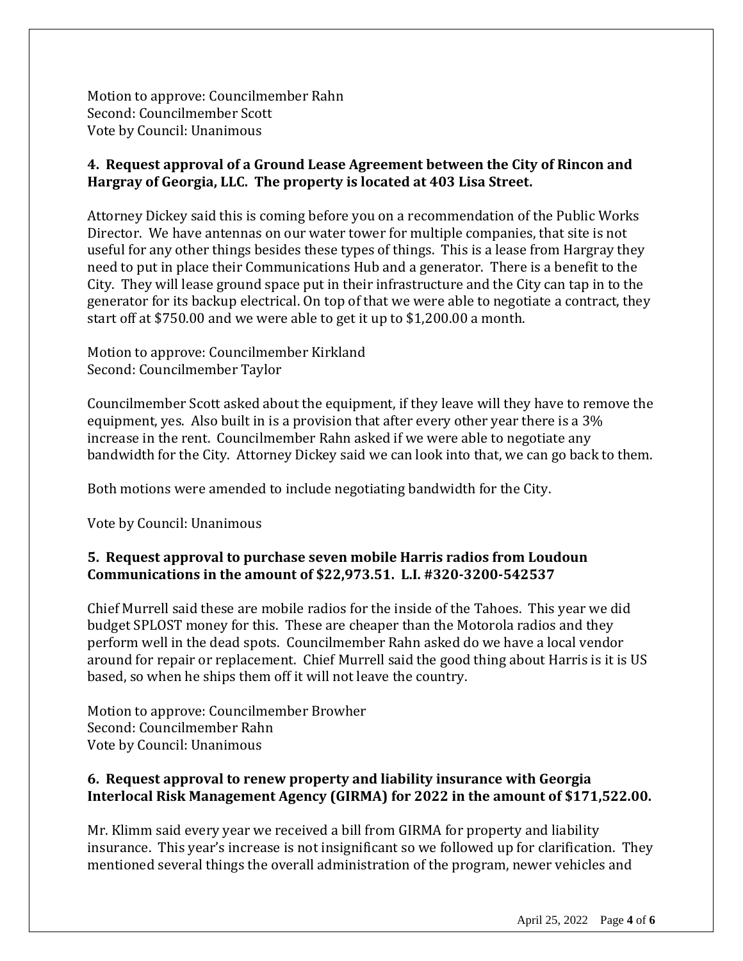Motion to approve: Councilmember Rahn Second: Councilmember Scott Vote by Council: Unanimous

## **4. Request approval of a Ground Lease Agreement between the City of Rincon and Hargray of Georgia, LLC. The property is located at 403 Lisa Street.**

Attorney Dickey said this is coming before you on a recommendation of the Public Works Director. We have antennas on our water tower for multiple companies, that site is not useful for any other things besides these types of things. This is a lease from Hargray they need to put in place their Communications Hub and a generator. There is a benefit to the City. They will lease ground space put in their infrastructure and the City can tap in to the generator for its backup electrical. On top of that we were able to negotiate a contract, they start off at \$750.00 and we were able to get it up to \$1,200.00 a month.

Motion to approve: Councilmember Kirkland Second: Councilmember Taylor

Councilmember Scott asked about the equipment, if they leave will they have to remove the equipment, yes. Also built in is a provision that after every other year there is a 3% increase in the rent. Councilmember Rahn asked if we were able to negotiate any bandwidth for the City. Attorney Dickey said we can look into that, we can go back to them.

Both motions were amended to include negotiating bandwidth for the City.

Vote by Council: Unanimous

## **5. Request approval to purchase seven mobile Harris radios from Loudoun Communications in the amount of \$22,973.51. L.I. #320-3200-542537**

Chief Murrell said these are mobile radios for the inside of the Tahoes. This year we did budget SPLOST money for this. These are cheaper than the Motorola radios and they perform well in the dead spots. Councilmember Rahn asked do we have a local vendor around for repair or replacement. Chief Murrell said the good thing about Harris is it is US based, so when he ships them off it will not leave the country.

Motion to approve: Councilmember Browher Second: Councilmember Rahn Vote by Council: Unanimous

## **6. Request approval to renew property and liability insurance with Georgia Interlocal Risk Management Agency (GIRMA) for 2022 in the amount of \$171,522.00.**

Mr. Klimm said every year we received a bill from GIRMA for property and liability insurance. This year's increase is not insignificant so we followed up for clarification. They mentioned several things the overall administration of the program, newer vehicles and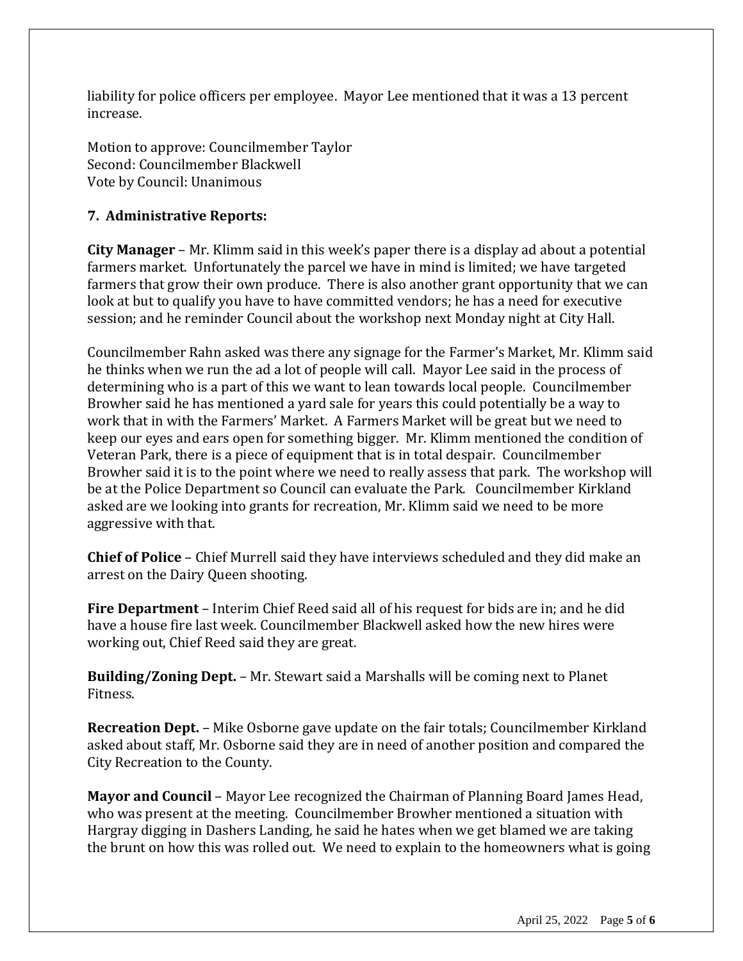liability for police officers per employee. Mayor Lee mentioned that it was a 13 percent increase.

Motion to approve: Councilmember Taylor Second: Councilmember Blackwell Vote by Council: Unanimous

# **7. Administrative Reports:**

**City Manager** – Mr. Klimm said in this week's paper there is a display ad about a potential farmers market. Unfortunately the parcel we have in mind is limited; we have targeted farmers that grow their own produce. There is also another grant opportunity that we can look at but to qualify you have to have committed vendors; he has a need for executive session; and he reminder Council about the workshop next Monday night at City Hall.

Councilmember Rahn asked was there any signage for the Farmer's Market, Mr. Klimm said he thinks when we run the ad a lot of people will call. Mayor Lee said in the process of determining who is a part of this we want to lean towards local people. Councilmember Browher said he has mentioned a yard sale for years this could potentially be a way to work that in with the Farmers' Market. A Farmers Market will be great but we need to keep our eyes and ears open for something bigger. Mr. Klimm mentioned the condition of Veteran Park, there is a piece of equipment that is in total despair. Councilmember Browher said it is to the point where we need to really assess that park. The workshop will be at the Police Department so Council can evaluate the Park. Councilmember Kirkland asked are we looking into grants for recreation, Mr. Klimm said we need to be more aggressive with that.

**Chief of Police** – Chief Murrell said they have interviews scheduled and they did make an arrest on the Dairy Queen shooting.

**Fire Department** – Interim Chief Reed said all of his request for bids are in; and he did have a house fire last week. Councilmember Blackwell asked how the new hires were working out, Chief Reed said they are great.

**Building/Zoning Dept.** – Mr. Stewart said a Marshalls will be coming next to Planet Fitness.

**Recreation Dept.** – Mike Osborne gave update on the fair totals; Councilmember Kirkland asked about staff, Mr. Osborne said they are in need of another position and compared the City Recreation to the County.

**Mayor and Council** – Mayor Lee recognized the Chairman of Planning Board James Head, who was present at the meeting. Councilmember Browher mentioned a situation with Hargray digging in Dashers Landing, he said he hates when we get blamed we are taking the brunt on how this was rolled out. We need to explain to the homeowners what is going